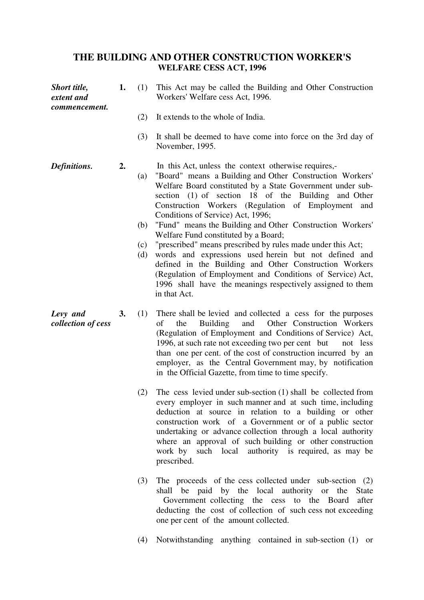## **THE BUILDING AND OTHER CONSTRUCTION WORKER'S WELFARE CESS ACT, 1996**

| Short title,<br>extent and<br>commencement. | 1.        | (1)                      | This Act may be called the Building and Other Construction<br>Workers' Welfare cess Act, 1996.                                                                                                                                                                                                                                                                                                                                                                                                                                                                                                                                                                                                                                                                        |
|---------------------------------------------|-----------|--------------------------|-----------------------------------------------------------------------------------------------------------------------------------------------------------------------------------------------------------------------------------------------------------------------------------------------------------------------------------------------------------------------------------------------------------------------------------------------------------------------------------------------------------------------------------------------------------------------------------------------------------------------------------------------------------------------------------------------------------------------------------------------------------------------|
|                                             |           | (2)                      | It extends to the whole of India.                                                                                                                                                                                                                                                                                                                                                                                                                                                                                                                                                                                                                                                                                                                                     |
|                                             |           | (3)                      | It shall be deemed to have come into force on the 3rd day of<br>November, 1995.                                                                                                                                                                                                                                                                                                                                                                                                                                                                                                                                                                                                                                                                                       |
| Definitions.                                | 2.        | (a)<br>(b)<br>(c)<br>(d) | In this Act, unless the context otherwise requires,-<br>"Board" means a Building and Other Construction Workers'<br>Welfare Board constituted by a State Government under sub-<br>section (1) of section 18 of the Building and Other<br>Construction Workers (Regulation of Employment<br>and<br>Conditions of Service) Act, 1996;<br>"Fund" means the Building and Other Construction Workers"<br>Welfare Fund constituted by a Board;<br>"prescribed" means prescribed by rules made under this Act;<br>words and expressions used herein but not defined and<br>defined in the Building and Other Construction Workers<br>(Regulation of Employment and Conditions of Service) Act,<br>1996 shall have the meanings respectively assigned to them<br>in that Act. |
| Levy and<br>collection of cess              | <b>3.</b> | (1)                      | There shall be levied and collected a cess for the purposes<br>of<br>the<br>Building<br>and Other Construction Workers<br>(Regulation of Employment and Conditions of Service) Act,<br>1996, at such rate not exceeding two per cent but<br>not less<br>than one per cent. of the cost of construction incurred by an<br>employer, as the Central Government may, by notification<br>in the Official Gazette, from time to time specify.                                                                                                                                                                                                                                                                                                                              |
|                                             |           | (2)                      | The cess levied under sub-section $(1)$ shall be collected from<br>every employer in such manner and at such time, including<br>deduction at source in relation to a building or other<br>construction work of a Government or of a public sector<br>undertaking or advance collection through a local authority<br>where an approval of such building or other construction<br>work by such local authority is required, as may be<br>prescribed.                                                                                                                                                                                                                                                                                                                    |
|                                             |           | (3)                      | The proceeds of the cess collected under sub-section $(2)$<br>shall be noid by the local outbority or the State                                                                                                                                                                                                                                                                                                                                                                                                                                                                                                                                                                                                                                                       |

- shall be paid by the local authority or the State Government collecting the cess to the Board after deducting the cost of collection of such cess not exceeding one per cent of the amount collected.
- (4) Notwithstanding anything contained in sub-section (1) or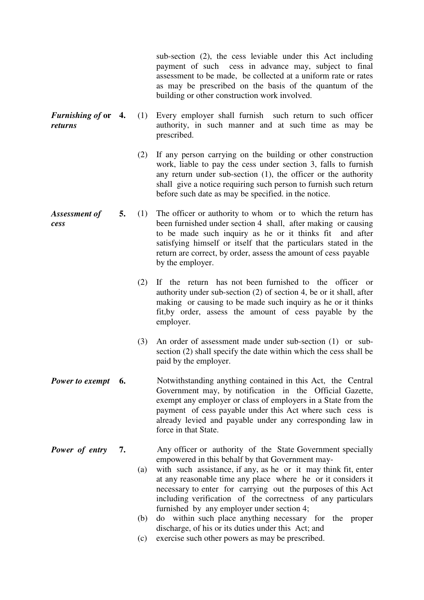sub-section (2), the cess leviable under this Act including payment of such cess in advance may, subject to final assessment to be made, be collected at a uniform rate or rates as may be prescribed on the basis of the quantum of the building or other construction work involved.

- *Furnishing of* **or**  *returns*  **4.** (1) Every employer shall furnish such return to such officer authority, in such manner and at such time as may be prescribed.
	- (2) If any person carrying on the building or other construction work, liable to pay the cess under section 3, falls to furnish any return under sub-section (1), the officer or the authority shall give a notice requiring such person to furnish such return before such date as may be specified. in the notice.
- *Assessment of cess*  **5.** (1) The officer or authority to whom or to which the return has been furnished under section 4 shall, after making or causing to be made such inquiry as he or it thinks fit and after satisfying himself or itself that the particulars stated in the return are correct, by order, assess the amount of cess payable by the employer.
	- (2) If the return has not been furnished to the officer or authority under sub-section (2) of section 4, be or it shall, after making or causing to be made such inquiry as he or it thinks fit,by order, assess the amount of cess payable by the employer.
	- (3) An order of assessment made under sub-section (1) or subsection (2) shall specify the date within which the cess shall be paid by the employer.
- **Power to exempt 6.** Notwithstanding anything contained in this Act, the Central Government may, by notification in the Official Gazette, exempt any employer or class of employers in a State from the payment of cess payable under this Act where such cess is already levied and payable under any corresponding law in force in that State.
- *Power of entry* 7. Any officer or authority of the State Government specially empowered in this behalf by that Government may-
	- (a) with such assistance, if any, as he or it may think fit, enter at any reasonable time any place where he or it considers it necessary to enter for carrying out the purposes of this Act including verification of the correctness of any particulars furnished by any employer under section 4;
	- (b) do within such place anything necessary for the proper discharge, of his or its duties under this Act; and
	- (c) exercise such other powers as may be prescribed.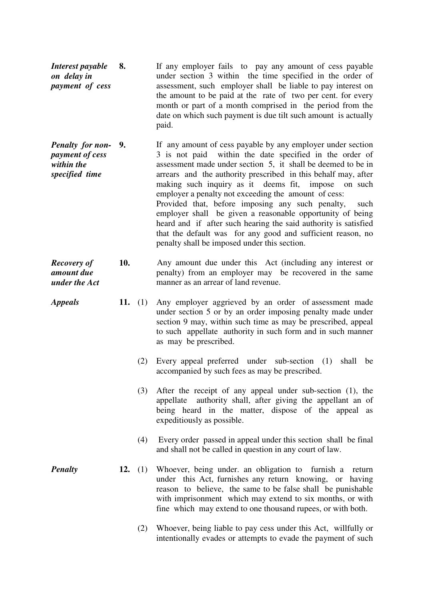- *Interest payable on delay in payment of cess*  **8.** If any employer fails to pay any amount of cess payable under section 3 within the time specified in the order of assessment, such employer shall be liable to pay interest on the amount to be paid at the rate of two per cent. for every month or part of a month comprised in the period from the date on which such payment is due tilt such amount is actually paid.
- *Penalty for nonpayment of cess within the specified time*  **9.** If any amount of cess payable by any employer under section 3 is not paid within the date specified in the order of assessment made under section 5, it shall be deemed to be in arrears and the authority prescribed in this behalf may, after making such inquiry as it deems fit, impose on such employer a penalty not exceeding the amount of cess: Provided that, before imposing any such penalty, such employer shall be given a reasonable opportunity of being heard and if after such hearing the said authority is satisfied that the default was for any good and sufficient reason, no penalty shall be imposed under this section.
- *Recovery of amount due under the Act*  **10.** Any amount due under this Act (including any interest or penalty) from an employer may be recovered in the same manner as an arrear of land revenue.
- *Appeals* **11.** (1) Any employer aggrieved by an order of assessment made under section 5 or by an order imposing penalty made under section 9 may, within such time as may be prescribed, appeal to such appellate authority in such form and in such manner as may be prescribed.
	- (2) Every appeal preferred under sub-section (1) shall be accompanied by such fees as may be prescribed.
	- (3) After the receipt of any appeal under sub-section (1), the appellate authority shall, after giving the appellant an of being heard in the matter, dispose of the appeal as expeditiously as possible.
	- (4) Every order passed in appeal under this section shall be final and shall not be called in question in any court of law.
- *Penalty* **12.** (1) Whoever, being under. an obligation to furnish a return under this Act, furnishes any return knowing, or having reason to believe, the same to be false shall be punishable with imprisonment which may extend to six months, or with fine which may extend to one thousand rupees, or with both.
	- (2) Whoever, being liable to pay cess under this Act, willfully or intentionally evades or attempts to evade the payment of such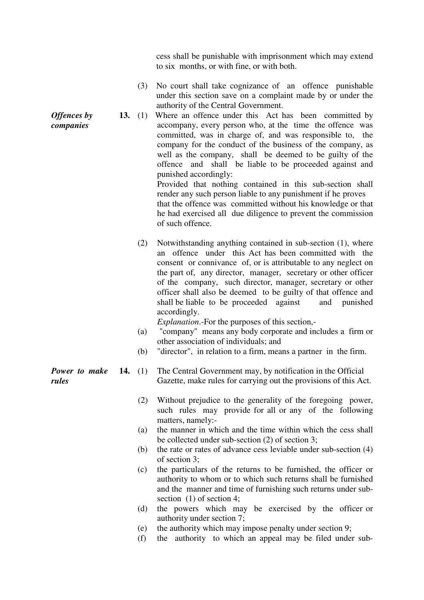cess shall be punishable with imprisonment which may extend to six months, or with fine, or with both.

- (3) No court shall take cognizance of an offence punishable under this section save on a complaint made by or under the authority of the Central Government.
- **13.** (1) Where an offence under this Act has been committed by accompany, every person who, at the time the offence was committed, was in charge of, and was responsible to, the company for the conduct of the business of the company, as well as the company, shall be deemed to be guilty of the offence and shall be liable to be proceeded against and punished accordingly: Provided that nothing contained in this sub-section shall

render any such person liable to any punishment if he proves that the offence was committed without his knowledge or that he had exercised all due diligence to prevent the commission of such offence.

(2) Notwithstanding anything contained in sub-section (1), where an offence under this Act has been committed with the consent or connivance of, or is attributable to any neglect on the part of, any director, manager, secretary or other officer of the company, such director, manager, secretary or other officer shall also be deemed to be guilty of that offence and shall be liable to be proceeded against and punished accordingly.

*Explanation*.-For the purposes of this section,-

- (a) "company" means any body corporate and includes a firm or other association of individuals; and
- (b) "director", in relation to a firm, means a partner in the firm.
- *Power to make*  **14.** (1) The Central Government may, by notification in the Official Gazette, make rules for carrying out the provisions of this Act.
	- (2) Without prejudice to the generality of the foregoing power, such rules may provide for all or any of the following matters, namely:-
	- (a) the manner in which and the time within which the cess shall be collected under sub-section (2) of section 3;
	- (b) the rate or rates of advance cess leviable under sub-section (4) of section 3;
	- (c) the particulars of the returns to be furnished, the officer or authority to whom or to which such returns shall be furnished and the manner and time of furnishing such returns under subsection  $(1)$  of section 4:
	- (d) the powers which may be exercised by the officer or authority under section 7;
	- (e) the authority which may impose penalty under section 9;
	- (f) the authority to which an appeal may be filed under sub-

*Offences by companies* 

*rules*